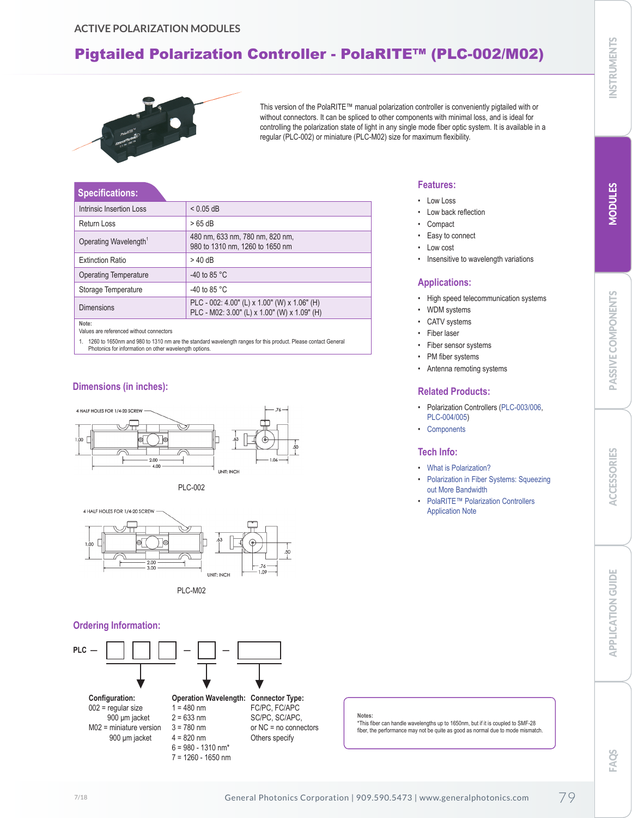# <span id="page-0-0"></span>Pigtailed Polarization Controller - PolaRITE™ (PLC-002/M02)



This version of the PolaRITE™ manual polarization controller is conveniently pigtailed with or without connectors. It can be spliced to other components with minimal loss, and is ideal for controlling the polarization state of light in any single mode fiber optic system. It is available in a regular (PLC-002) or miniature (PLC-M02) size for maximum flexibility.

#### **Specifications:**

| Intrinsic Insertion Loss          | $< 0.05$ dB                                                                                  |
|-----------------------------------|----------------------------------------------------------------------------------------------|
| Return Loss                       | $>65$ dB                                                                                     |
| Operating Wavelength <sup>1</sup> | 480 nm, 633 nm, 780 nm, 820 nm,<br>980 to 1310 nm, 1260 to 1650 nm                           |
| <b>Extinction Ratio</b>           | $>$ 40 dB                                                                                    |
| Operating Temperature             | -40 to 85 $^{\circ}$ C                                                                       |
| Storage Temperature               | -40 to 85 $^{\circ}$ C                                                                       |
| <b>Dimensions</b>                 | PLC - 002: 4.00" (L) x 1.00" (W) x 1.06" (H)<br>PLC - M02: 3.00" (L) x 1.00" (W) x 1.09" (H) |
| Note:                             |                                                                                              |

Values are referenced without connectors

1. 1260 to 1650nm and 980 to 1310 nm are the standard wavelength ranges for this product. Please contact General Photonics for information on other wavelength options.

### **Dimensions (in inches):**









#### **Ordering Information:**



7 = 1260 - 1650 nm

# Fiber sensor systems

PM fiber systems

**Applications:**

WDM systems CATV systems Fiber laser

**Features:** • Low Loss

> • Low back reflection **Compact** Easy to connect Low cost

• Insensitive to wavelength variations

• High speed telecommunication systems

Antenna remoting systems

### **Related Products:**

- Polarization Controllers [\(PLC-003/006,](#page-1-0) [PLC-004/005\)](#page-2-0)
- Components

#### **Tech Info:**

- What is Polarization?
- Polarization in Fiber Systems: Squeezing out More Bandwidth
- PolaRITE™ Polarization Controllers Application Note

PASSIVE COMPONENTS

PASSIVE COMPONENTS

FAQS

**INSTRUMENTS** 

\*This fiber can handle wavelengths up to 1650nm, but if it is coupled to SMF-28 fiber, the performance may not be quite as good as normal due to mode mismatch.

**Notes:**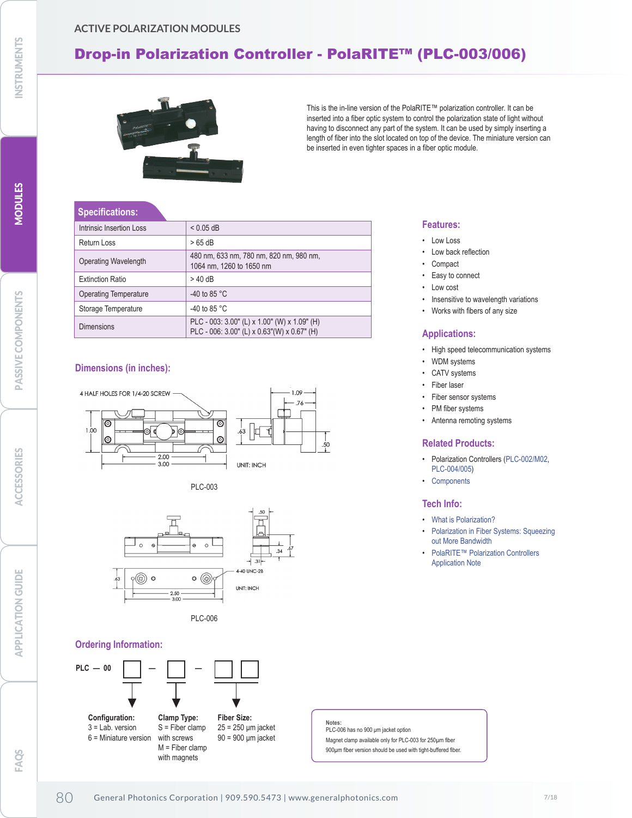## <span id="page-1-0"></span>**ACTIVE POLARIZATION MODULES**

# Drop-in Polarization Controller - PolaRITE™ (PLC-003/006)



This is the in-line version of the PolaRITE™ polarization controller. It can be inserted into a fiber optic system to control the polarization state of light without having to disconnect any part of the system. It can be used by simply inserting a length of fiber into the slot located on top of the device. The miniature version can be inserted in even tighter spaces in a fiber optic module.

#### **Specifications:**

| Intrinsic Insertion Loss | $< 0.05$ dB                                                                                  |
|--------------------------|----------------------------------------------------------------------------------------------|
| Return Loss              | $>65$ dB                                                                                     |
| Operating Wavelength     | 480 nm, 633 nm, 780 nm, 820 nm, 980 nm,<br>1064 nm, 1260 to 1650 nm                          |
| <b>Extinction Ratio</b>  | $>$ 40 dB                                                                                    |
| Operating Temperature    | -40 to 85 $^{\circ}$ C                                                                       |
| Storage Temperature      | -40 to 85 $^{\circ}$ C                                                                       |
| <b>Dimensions</b>        | PLC - 003: 3.00" (L) x 1.00" (W) x 1.09" (H)<br>PLC - 006: 3.00" (L) x 0.63" (W) x 0.67" (H) |

### **Dimensions (in inches):**







### **Ordering Information:**



#### **Features:**

- Low Loss
- Low back reflection
- **Compact**
- Easy to connect
- Low cost
- Insensitive to wavelength variations
- Works with fibers of any size

#### **Applications:**

- High speed telecommunication systems
- WDM systems
- CATV systems
- Fiber laser
- Fiber sensor systems
- PM fiber systems
- Antenna remoting systems

#### **Related Products:**

- Polarization Controllers [\(PLC-002/M02,](#page-0-0) [PLC-004/005\)](#page-2-0)
- Components

#### **Tech Info:**

- What is Polarization?
- Polarization in Fiber Systems: Squeezing out More Bandwidth
- PolaRITE™ Polarization Controllers Application Note

**Notes:** PLC-006 has no 900 μm jacket option Magnet clamp available only for PLC-003 for 250µm fiber 900um fiber version should be used with tight-buffered fiber.

MODULES

**MODULES**